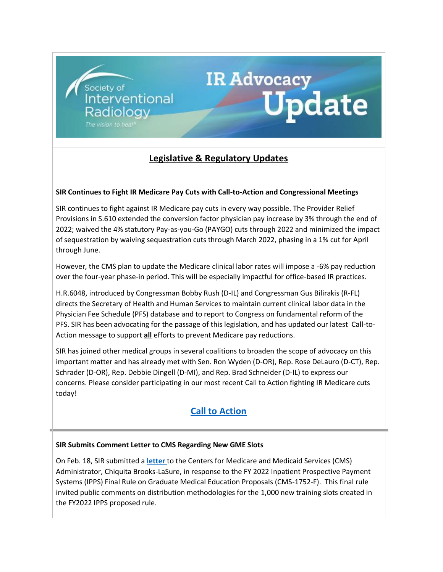# **Legislative & Regulatory Updates**

IR Advocacy<br>Update

#### **SIR Continues to Fight IR Medicare Pay Cuts with Call-to-Action and Congressional Meetings**

Society of<br>Interventional

Radiology

The vision to hea

SIR continues to fight against IR Medicare pay cuts in every way possible. The Provider Relief Provisions in S.610 extended the conversion factor physician pay increase by 3% through the end of 2022; waived the 4% statutory Pay-as-you-Go (PAYGO) cuts through 2022 and minimized the impact of sequestration by waiving sequestration cuts through March 2022, phasing in a 1% cut for April through June.

However, the CMS plan to update the Medicare clinical labor rates will impose a -6% pay reduction over the four-year phase-in period. This will be especially impactful for office-based IR practices.

H.R.6048, introduced by Congressman Bobby Rush (D-IL) and Congressman Gus Bilirakis (R-FL) directs the Secretary of Health and Human Services to maintain current clinical labor data in the Physician Fee Schedule (PFS) database and to report to Congress on fundamental reform of the PFS. SIR has been advocating for the passage of this legislation, and has updated our latest Call-to-Action message to support **all** efforts to prevent Medicare pay reductions.

SIR has joined other medical groups in several coalitions to broaden the scope of advocacy on this important matter and has already met with Sen. Ron Wyden (D-OR), Rep. Rose DeLauro (D-CT), Rep. Schrader (D-OR), Rep. Debbie Dingell (D-MI), and Rep. Brad Schneider (D-IL) to express our concerns. Please consider participating in our most recent Call to Action fighting IR Medicare cuts today!

# **[Call to Action](https://protect-us.mimecast.com/s/j3K-CmZ6wETvpv5fG7svs)**

#### **SIR Submits Comment Letter to CMS Regarding New GME Slots**

On Feb. 18, SIR submitted a **[letter](https://protect-us.mimecast.com/s/HPU1Cn5XZzhnXnGuJWa8g)** to the Centers for Medicare and Medicaid Services (CMS) Administrator, Chiquita Brooks-LaSure, in response to the FY 2022 Inpatient Prospective Payment Systems (IPPS) Final Rule on Graduate Medical Education Proposals (CMS-1752-F). This final rule invited public comments on distribution methodologies for the 1,000 new training slots created in the FY2022 IPPS proposed rule.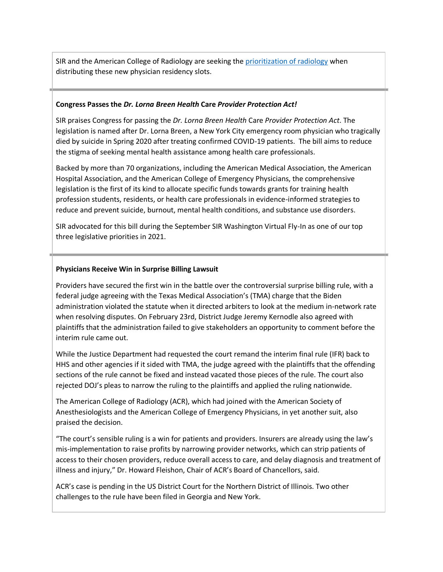SIR and the American College of Radiology are seeking the [prioritization of radiology](https://protect-us.mimecast.com/s/ZuBTCo2KYOckDkXuVnA0G) when distributing these new physician residency slots.

#### **Congress Passes the** *Dr. Lorna Breen Health* **Care** *Provider Protection Act!*

SIR praises Congress for passing the *Dr. Lorna Breen Health* Care *Provider Protection Act*. The legislation is named after Dr. Lorna Breen, a New York City emergency room physician who tragically died by suicide in Spring 2020 after treating confirmed COVID-19 patients. The bill aims to reduce the stigma of seeking mental health assistance among health care professionals.

Backed by more than 70 organizations, including the American Medical Association, the American Hospital Association, and the American College of Emergency Physicians, the comprehensive legislation is the first of its kind to allocate specific funds towards grants for training health profession students, residents, or health care professionals in evidence-informed strategies to reduce and prevent suicide, burnout, mental health conditions, and substance use disorders.

SIR advocated for this bill during the September SIR Washington Virtual Fly-In as one of our top three legislative priorities in 2021.

#### **Physicians Receive Win in Surprise Billing Lawsuit**

Providers have secured the first win in the battle over the controversial surprise billing rule, with a federal judge agreeing with the Texas Medical Association's (TMA) charge that the Biden administration violated the statute when it directed arbiters to look at the medium in-network rate when resolving disputes. On February 23rd, District Judge Jeremy Kernodle also agreed with plaintiffs that the administration failed to give stakeholders an opportunity to comment before the interim rule came out.

While the Justice Department had requested the court remand the interim final rule (IFR) back to HHS and other agencies if it sided with TMA, the judge agreed with the plaintiffs that the offending sections of the rule cannot be fixed and instead vacated those pieces of the rule. The court also rejected DOJ's pleas to narrow the ruling to the plaintiffs and applied the ruling nationwide.

The American College of Radiology (ACR), which had joined with the American Society of Anesthesiologists and the American College of Emergency Physicians, in yet another suit, also praised the decision.

"The court's sensible ruling is a win for patients and providers. Insurers are already using the law's mis-implementation to raise profits by narrowing provider networks, which can strip patients of access to their chosen providers, reduce overall access to care, and delay diagnosis and treatment of illness and injury," Dr. Howard Fleishon, Chair of ACR's Board of Chancellors, said.

ACR's case is pending in the US District Court for the Northern District of Illinois. Two other challenges to the rule have been filed in Georgia and New York.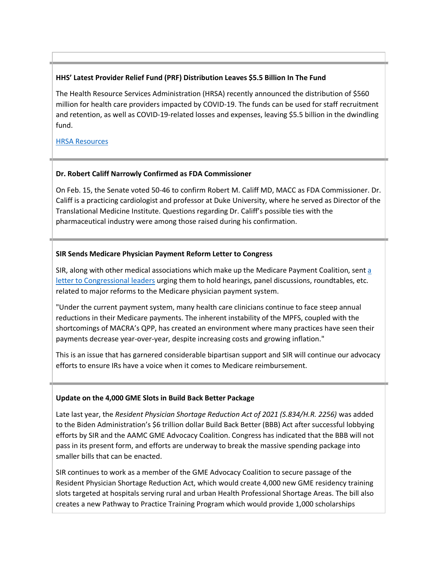## **HHS' Latest Provider Relief Fund (PRF) Distribution Leaves \$5.5 Billion In The Fund**

The Health Resource Services Administration (HRSA) recently announced the distribution of \$560 million for health care providers impacted by COVID-19. The funds can be used for staff recruitment and retention, as well as COVID-19-related losses and expenses, leaving \$5.5 billion in the dwindling fund.

[HRSA Resources](https://protect-us.mimecast.com/s/UvwdCpYKgzS595zFGDZjt)

#### **Dr. Robert Califf Narrowly Confirmed as FDA Commissioner**

On Feb. 15, the Senate voted 50-46 to confirm Robert M. Califf MD, MACC as FDA Commissioner. Dr. Califf is a practicing cardiologist and professor at Duke University, where he served as Director of the Translational Medicine Institute. Questions regarding Dr. Califf's possible ties with the pharmaceutical industry were among those raised during his confirmation.

# **SIR Sends Medicare Physician Payment Reform Letter to Congress**

SIR, along with other medical associations which make up the Medicare Payment Coalition, sent a [letter to Congressional leaders](https://protect-us.mimecast.com/s/DyPcCqx5j2F919OsN0mQW) urging them to hold hearings, panel discussions, roundtables, etc. related to major reforms to the Medicare physician payment system.

"Under the current payment system, many health care clinicians continue to face steep annual reductions in their Medicare payments. The inherent instability of the MPFS, coupled with the shortcomings of MACRA's QPP, has created an environment where many practices have seen their payments decrease year-over-year, despite increasing costs and growing inflation."

This is an issue that has garnered considerable bipartisan support and SIR will continue our advocacy efforts to ensure IRs have a voice when it comes to Medicare reimbursement.

#### **Update on the 4,000 GME Slots in Build Back Better Package**

Late last year, the *Resident Physician Shortage Reduction Act of 2021 (S.834/H.R. 2256)* was added to the Biden Administration's \$6 trillion dollar Build Back Better (BBB) Act after successful lobbying efforts by SIR and the AAMC GME Advocacy Coalition. Congress has indicated that the BBB will not pass in its present form, and efforts are underway to break the massive spending package into smaller bills that can be enacted.

SIR continues to work as a member of the GME Advocacy Coalition to secure passage of the Resident Physician Shortage Reduction Act, which would create 4,000 new GME residency training slots targeted at hospitals serving rural and urban Health Professional Shortage Areas. The bill also creates a new Pathway to Practice Training Program which would provide 1,000 scholarships